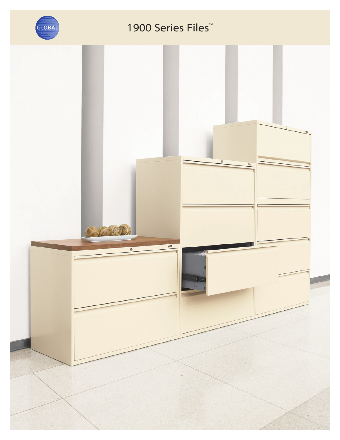

## 1900 Series Files<sup>™</sup>